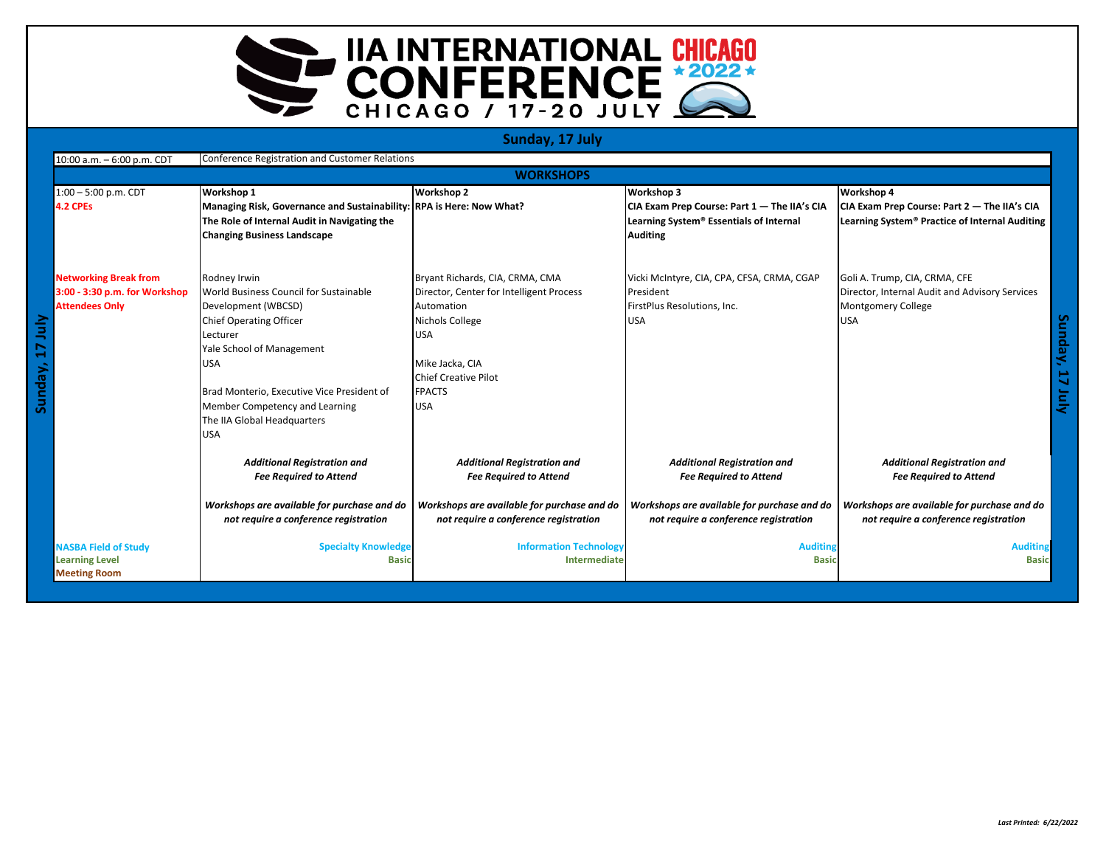

## **Sunday, 17 July**

| Conference Registration and Customer Relations<br>10:00 a.m. - 6:00 p.m. CDT |                               |                                                                      |                                             |                                              |                                                |
|------------------------------------------------------------------------------|-------------------------------|----------------------------------------------------------------------|---------------------------------------------|----------------------------------------------|------------------------------------------------|
|                                                                              |                               |                                                                      | <b>WORKSHOPS</b>                            |                                              |                                                |
|                                                                              | $1:00 - 5:00$ p.m. CDT        | <b>Workshop 1</b>                                                    | <b>Workshop 2</b>                           | Workshop 3                                   | Workshop 4                                     |
|                                                                              | 4.2 CPEs                      | Managing Risk, Governance and Sustainability: RPA is Here: Now What? |                                             | CIA Exam Prep Course: Part 1 - The IIA's CIA | CIA Exam Prep Course: Part 2 - The IIA's CIA   |
|                                                                              |                               | The Role of Internal Audit in Navigating the                         |                                             | Learning System® Essentials of Internal      | Learning System® Practice of Internal Auditing |
|                                                                              |                               | <b>Changing Business Landscape</b>                                   |                                             | <b>Auditing</b>                              |                                                |
|                                                                              |                               |                                                                      |                                             |                                              |                                                |
|                                                                              | <b>Networking Break from</b>  | Rodney Irwin                                                         | Bryant Richards, CIA, CRMA, CMA             | Vicki McIntyre, CIA, CPA, CFSA, CRMA, CGAP   | Goli A. Trump, CIA, CRMA, CFE                  |
|                                                                              | 3:00 - 3:30 p.m. for Workshop | World Business Council for Sustainable                               | Director, Center for Intelligent Process    | President                                    | Director, Internal Audit and Advisory Services |
|                                                                              | <b>Attendees Only</b>         | Development (WBCSD)                                                  | Automation                                  | FirstPlus Resolutions, Inc.                  | <b>Montgomery College</b>                      |
|                                                                              |                               | <b>Chief Operating Officer</b>                                       | Nichols College                             | <b>USA</b>                                   | <b>USA</b>                                     |
|                                                                              |                               | Lecturer                                                             | <b>USA</b>                                  |                                              |                                                |
|                                                                              |                               | Yale School of Management                                            |                                             |                                              |                                                |
|                                                                              |                               | <b>USA</b>                                                           | Mike Jacka, CIA                             |                                              |                                                |
| Sunday,                                                                      |                               |                                                                      | <b>Chief Creative Pilot</b>                 |                                              |                                                |
|                                                                              |                               | Brad Monterio, Executive Vice President of                           | <b>FPACTS</b>                               |                                              |                                                |
|                                                                              |                               | Member Competency and Learning                                       | <b>USA</b>                                  |                                              |                                                |
|                                                                              |                               | The IIA Global Headquarters                                          |                                             |                                              |                                                |
|                                                                              |                               | <b>USA</b>                                                           |                                             |                                              |                                                |
|                                                                              |                               | <b>Additional Registration and</b>                                   | <b>Additional Registration and</b>          | <b>Additional Registration and</b>           | <b>Additional Registration and</b>             |
|                                                                              |                               | <b>Fee Required to Attend</b>                                        | <b>Fee Required to Attend</b>               | <b>Fee Required to Attend</b>                | <b>Fee Required to Attend</b>                  |
|                                                                              |                               | Workshops are available for purchase and do                          | Workshops are available for purchase and do | Workshops are available for purchase and do  | Workshops are available for purchase and do    |
|                                                                              |                               | not require a conference registration                                | not require a conference registration       | not require a conference registration        | not require a conference registration          |
|                                                                              | <b>NASBA Field of Study</b>   | <b>Specialty Knowledge</b>                                           | <b>Information Technology</b>               | <b>Auditing</b>                              | <b>Auditing</b>                                |
|                                                                              | <b>Learning Level</b>         | <b>Basic</b>                                                         | Intermediate                                | <b>Basic</b>                                 | <b>Basic</b>                                   |
|                                                                              | <b>Meeting Room</b>           |                                                                      |                                             |                                              |                                                |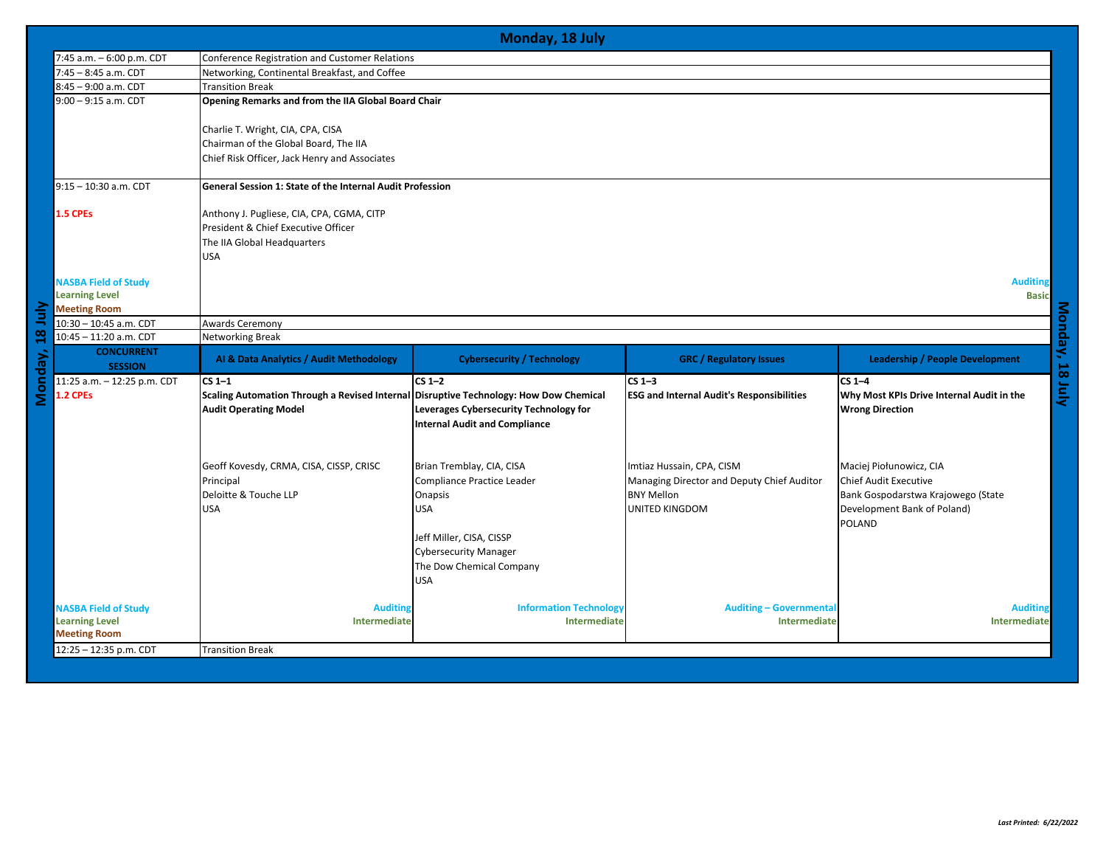|                | Monday, 18 July                              |                                                                                       |                                        |                                                  |                                           |  |  |
|----------------|----------------------------------------------|---------------------------------------------------------------------------------------|----------------------------------------|--------------------------------------------------|-------------------------------------------|--|--|
|                | 7:45 a.m. - 6:00 p.m. CDT                    | Conference Registration and Customer Relations                                        |                                        |                                                  |                                           |  |  |
|                | 7:45 - 8:45 a.m. CDT                         | Networking, Continental Breakfast, and Coffee                                         |                                        |                                                  |                                           |  |  |
|                | 8:45 - 9:00 a.m. CDT                         | <b>Transition Break</b>                                                               |                                        |                                                  |                                           |  |  |
|                | $9:00 - 9:15$ a.m. CDT                       | Opening Remarks and from the IIA Global Board Chair                                   |                                        |                                                  |                                           |  |  |
|                |                                              | Charlie T. Wright, CIA, CPA, CISA                                                     |                                        |                                                  |                                           |  |  |
|                |                                              | Chairman of the Global Board, The IIA                                                 |                                        |                                                  |                                           |  |  |
|                |                                              | Chief Risk Officer, Jack Henry and Associates                                         |                                        |                                                  |                                           |  |  |
|                | $9:15 - 10:30$ a.m. CDT                      | General Session 1: State of the Internal Audit Profession                             |                                        |                                                  |                                           |  |  |
|                |                                              |                                                                                       |                                        |                                                  |                                           |  |  |
|                | 1.5 CPEs                                     | Anthony J. Pugliese, CIA, CPA, CGMA, CITP<br>President & Chief Executive Officer      |                                        |                                                  |                                           |  |  |
|                |                                              | The IIA Global Headquarters                                                           |                                        |                                                  |                                           |  |  |
|                |                                              | <b>USA</b>                                                                            |                                        |                                                  |                                           |  |  |
|                |                                              |                                                                                       |                                        |                                                  |                                           |  |  |
|                | <b>NASBA Field of Study</b>                  |                                                                                       |                                        |                                                  | <b>Auditing</b>                           |  |  |
|                | <b>Learning Level</b>                        |                                                                                       |                                        |                                                  | <b>Basic</b>                              |  |  |
| È              | <b>Meeting Room</b>                          |                                                                                       |                                        |                                                  |                                           |  |  |
|                | 10:30 - 10:45 a.m. CDT                       | <b>Awards Ceremony</b>                                                                |                                        |                                                  |                                           |  |  |
| $\frac{8}{16}$ | 10:45 - 11:20 a.m. CDT                       |                                                                                       | <b>Networking Break</b>                |                                                  |                                           |  |  |
|                |                                              |                                                                                       |                                        |                                                  |                                           |  |  |
|                | <b>CONCURRENT</b><br><b>SESSION</b>          | Al & Data Analytics / Audit Methodology                                               | <b>Cybersecurity / Technology</b>      | <b>GRC</b> / Regulatory Issues                   | <b>Leadership / People Development</b>    |  |  |
|                | 11:25 a.m. - 12:25 p.m. CDT                  | $CS1-1$                                                                               | $CS1-2$                                | $CS1-3$                                          | $CS 1-4$                                  |  |  |
| Monday,        | 1.2 CPEs                                     | Scaling Automation Through a Revised Internal Disruptive Technology: How Dow Chemical |                                        | <b>ESG and Internal Audit's Responsibilities</b> | Why Most KPIs Drive Internal Audit in the |  |  |
|                |                                              | <b>Audit Operating Model</b>                                                          | Leverages Cybersecurity Technology for |                                                  | <b>Wrong Direction</b>                    |  |  |
|                |                                              |                                                                                       | <b>Internal Audit and Compliance</b>   |                                                  |                                           |  |  |
|                |                                              |                                                                                       |                                        |                                                  |                                           |  |  |
|                |                                              |                                                                                       |                                        |                                                  |                                           |  |  |
|                |                                              | Geoff Kovesdy, CRMA, CISA, CISSP, CRISC                                               | Brian Tremblay, CIA, CISA              | Imtiaz Hussain, CPA, CISM                        | Maciej Piołunowicz, CIA                   |  |  |
|                |                                              | Principal                                                                             | Compliance Practice Leader             | Managing Director and Deputy Chief Auditor       | <b>Chief Audit Executive</b>              |  |  |
|                |                                              | Deloitte & Touche LLP                                                                 | Onapsis                                | <b>BNY Mellon</b>                                | Bank Gospodarstwa Krajowego (State        |  |  |
|                |                                              | <b>USA</b>                                                                            | USA                                    | <b>UNITED KINGDOM</b>                            | Development Bank of Poland)               |  |  |
|                |                                              |                                                                                       |                                        |                                                  | <b>POLAND</b>                             |  |  |
|                |                                              |                                                                                       | Jeff Miller, CISA, CISSP               |                                                  |                                           |  |  |
|                |                                              |                                                                                       | <b>Cybersecurity Manager</b>           |                                                  |                                           |  |  |
|                |                                              |                                                                                       | The Dow Chemical Company               |                                                  |                                           |  |  |
|                |                                              |                                                                                       | <b>USA</b>                             |                                                  |                                           |  |  |
|                |                                              |                                                                                       |                                        |                                                  |                                           |  |  |
|                | <b>NASBA Field of Study</b>                  | <b>Auditing</b>                                                                       | <b>Information Technology</b>          | <b>Auditing - Governmental</b>                   | <b>Auditing</b>                           |  |  |
|                | <b>Learning Level</b><br><b>Meeting Room</b> | Intermediate                                                                          | Intermediate                           | Intermediate                                     | Intermediate                              |  |  |
|                | 12:25 - 12:35 p.m. CDT                       | <b>Transition Break</b>                                                               |                                        |                                                  |                                           |  |  |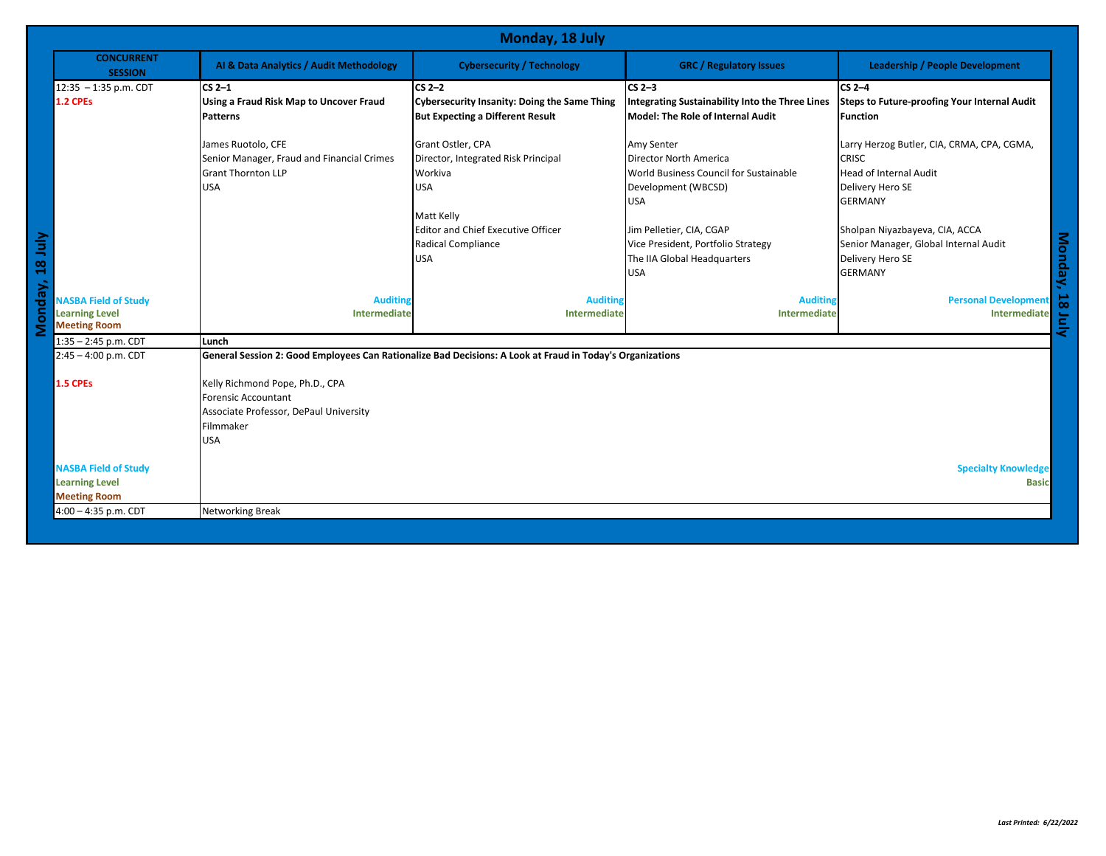|                                                                                       | Monday, 18 July                     |                                                                                                                             |                                                                                                |                                                                                                                           |                                                                                                                                 |
|---------------------------------------------------------------------------------------|-------------------------------------|-----------------------------------------------------------------------------------------------------------------------------|------------------------------------------------------------------------------------------------|---------------------------------------------------------------------------------------------------------------------------|---------------------------------------------------------------------------------------------------------------------------------|
|                                                                                       | <b>CONCURRENT</b><br><b>SESSION</b> | Al & Data Analytics / Audit Methodology                                                                                     | <b>Cybersecurity / Technology</b>                                                              | <b>GRC</b> / Regulatory Issues                                                                                            | <b>Leadership / People Development</b>                                                                                          |
| $12:35 - 1:35$ p.m. CDT                                                               |                                     | $CS2-1$                                                                                                                     | $CS2-2$                                                                                        | $CS2-3$                                                                                                                   | $CS2-4$                                                                                                                         |
| 1.2 CPEs                                                                              |                                     | Using a Fraud Risk Map to Uncover Fraud<br><b>Patterns</b>                                                                  | <b>Cybersecurity Insanity: Doing the Same Thing</b><br><b>But Expecting a Different Result</b> | <b>Integrating Sustainability Into the Three Lines</b><br>Model: The Role of Internal Audit                               | Steps to Future-proofing Your Internal Audit<br><b>Function</b>                                                                 |
|                                                                                       |                                     | James Ruotolo, CFE<br>Senior Manager, Fraud and Financial Crimes<br><b>Grant Thornton LLP</b><br><b>USA</b>                 | Grant Ostler, CPA<br>Director, Integrated Risk Principal<br>Workiva<br><b>USA</b>              | Amy Senter<br><b>Director North America</b><br>World Business Council for Sustainable<br>Development (WBCSD)              | Larry Herzog Butler, CIA, CRMA, CPA, CGMA,<br><b>CRISC</b><br>Head of Internal Audit<br>Delivery Hero SE                        |
| ay, 181uly                                                                            |                                     |                                                                                                                             | Matt Kelly<br><b>Editor and Chief Executive Officer</b><br>Radical Compliance<br><b>USA</b>    | <b>USA</b><br>Jim Pelletier, CIA, CGAP<br>Vice President, Portfolio Strategy<br>The IIA Global Headquarters<br><b>USA</b> | <b>GERMANY</b><br>Sholpan Niyazbayeva, CIA, ACCA<br>Senior Manager, Global Internal Audit<br>Delivery Hero SE<br><b>GERMANY</b> |
| <b>NASBA Field of Study</b><br>ರ<br>န<br><b>Learning Level</b><br><b>Meeting Room</b> |                                     | <b>Auditing</b><br>Intermediate                                                                                             | <b>Auditing</b><br>Intermediate                                                                | <b>Auditing</b><br>Intermediate                                                                                           | Personal Development<br>Intermediate                                                                                            |
| $1:35 - 2:45$ p.m. CDT                                                                |                                     | Lunch                                                                                                                       |                                                                                                |                                                                                                                           |                                                                                                                                 |
| $2:45 - 4:00$ p.m. CDT                                                                |                                     | General Session 2: Good Employees Can Rationalize Bad Decisions: A Look at Fraud in Today's Organizations                   |                                                                                                |                                                                                                                           |                                                                                                                                 |
| <b>1.5 CPEs</b>                                                                       |                                     | Kelly Richmond Pope, Ph.D., CPA<br>Forensic Accountant<br>Associate Professor, DePaul University<br>Filmmaker<br><b>USA</b> |                                                                                                |                                                                                                                           |                                                                                                                                 |
| <b>NASBA Field of Study</b><br><b>Learning Level</b><br><b>Meeting Room</b>           |                                     |                                                                                                                             |                                                                                                |                                                                                                                           | <b>Specialty Knowledge</b><br><b>Basic</b>                                                                                      |
| 4:00 - 4:35 p.m. CDT                                                                  |                                     | <b>Networking Break</b>                                                                                                     |                                                                                                |                                                                                                                           |                                                                                                                                 |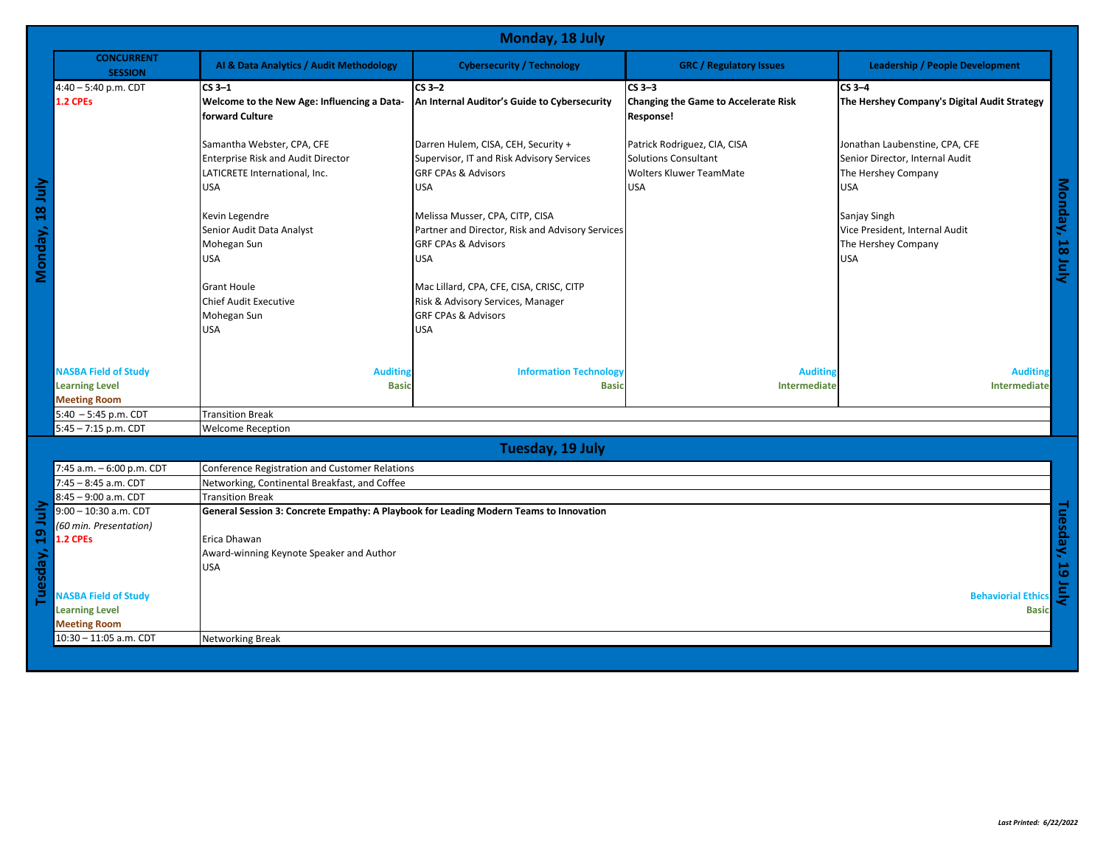|                 | Monday, 18 July                                                             |                                                                                                                        |                                                                                                                                     |                                                                                                      |                                                                                                        |
|-----------------|-----------------------------------------------------------------------------|------------------------------------------------------------------------------------------------------------------------|-------------------------------------------------------------------------------------------------------------------------------------|------------------------------------------------------------------------------------------------------|--------------------------------------------------------------------------------------------------------|
|                 | <b>CONCURRENT</b><br><b>SESSION</b>                                         | Al & Data Analytics / Audit Methodology                                                                                | <b>Cybersecurity / Technology</b>                                                                                                   | <b>GRC / Regulatory Issues</b>                                                                       | <b>Leadership / People Development</b>                                                                 |
|                 | 4:40 - 5:40 p.m. CDT<br>1.2 CPEs                                            | $CS3-1$<br>Welcome to the New Age: Influencing a Data-<br>forward Culture                                              | $CS3-2$<br>An Internal Auditor's Guide to Cybersecurity                                                                             | $CS3-3$<br><b>Changing the Game to Accelerate Risk</b><br>Response!                                  | $CS3-4$<br>The Hershey Company's Digital Audit Strategy                                                |
|                 |                                                                             | Samantha Webster, CPA, CFE<br><b>Enterprise Risk and Audit Director</b><br>LATICRETE International, Inc.<br><b>USA</b> | Darren Hulem, CISA, CEH, Security +<br>Supervisor, IT and Risk Advisory Services<br><b>GRF CPAs &amp; Advisors</b><br><b>USA</b>    | Patrick Rodriguez, CIA, CISA<br>Solutions Consultant<br><b>Wolters Kluwer TeamMate</b><br><b>USA</b> | Jonathan Laubenstine, CPA, CFE<br>Senior Director, Internal Audit<br>The Hershey Company<br><b>USA</b> |
| Monday, 18 July |                                                                             | Kevin Legendre<br>Senior Audit Data Analyst<br>Mohegan Sun<br><b>USA</b>                                               | Melissa Musser, CPA, CITP, CISA<br>Partner and Director, Risk and Advisory Services<br><b>GRF CPAs &amp; Advisors</b><br><b>USA</b> |                                                                                                      | Monday, 18<br>Sanjay Singh<br>Vice President, Internal Audit<br>The Hershey Company<br><b>USA</b><br>Ξ |
|                 |                                                                             | <b>Grant Houle</b><br><b>Chief Audit Executive</b><br>Mohegan Sun<br><b>USA</b>                                        | Mac Lillard, CPA, CFE, CISA, CRISC, CITP<br>Risk & Advisory Services, Manager<br><b>GRF CPAs &amp; Advisors</b><br><b>USA</b>       |                                                                                                      |                                                                                                        |
|                 | <b>NASBA Field of Study</b><br><b>Learning Level</b><br><b>Meeting Room</b> | <b>Auditing</b><br><b>Basic</b>                                                                                        | <b>Information Technology</b><br><b>Basic</b>                                                                                       | <b>Auditing</b><br>Intermediate                                                                      | <b>Auditing</b><br>Intermediate                                                                        |
|                 | $5:40 - 5:45$ p.m. CDT                                                      | <b>Transition Break</b>                                                                                                |                                                                                                                                     |                                                                                                      |                                                                                                        |
|                 | 5:45 - 7:15 p.m. CDT                                                        | <b>Welcome Reception</b>                                                                                               |                                                                                                                                     |                                                                                                      |                                                                                                        |
|                 |                                                                             |                                                                                                                        | Tuesday, 19 July                                                                                                                    |                                                                                                      |                                                                                                        |
|                 | 7:45 a.m. - 6:00 p.m. CDT                                                   | Conference Registration and Customer Relations                                                                         |                                                                                                                                     |                                                                                                      |                                                                                                        |
|                 | 7:45 - 8:45 a.m. CDT                                                        | Networking, Continental Breakfast, and Coffee                                                                          |                                                                                                                                     |                                                                                                      |                                                                                                        |
|                 | 8:45 - 9:00 a.m. CDT                                                        | <b>Transition Break</b>                                                                                                |                                                                                                                                     |                                                                                                      |                                                                                                        |
|                 | 9:00 - 10:30 a.m. CDT                                                       | General Session 3: Concrete Empathy: A Playbook for Leading Modern Teams to Innovation                                 |                                                                                                                                     |                                                                                                      |                                                                                                        |
| $\mathbf{a}$    | (60 min. Presentation)<br>1.2 CPEs                                          | Erica Dhawan                                                                                                           |                                                                                                                                     |                                                                                                      |                                                                                                        |
|                 |                                                                             | Award-winning Keynote Speaker and Author                                                                               |                                                                                                                                     |                                                                                                      | Tuesday,                                                                                               |
| uesday,         |                                                                             | <b>USA</b>                                                                                                             |                                                                                                                                     |                                                                                                      |                                                                                                        |
|                 |                                                                             |                                                                                                                        |                                                                                                                                     |                                                                                                      |                                                                                                        |
|                 | <b>NASBA Field of Study</b>                                                 |                                                                                                                        |                                                                                                                                     |                                                                                                      | <b>Behaviorial Ethics</b>                                                                              |
|                 | <b>Learning Level</b>                                                       |                                                                                                                        |                                                                                                                                     |                                                                                                      | <b>Basic</b>                                                                                           |
|                 | <b>Meeting Room</b><br>10:30 - 11:05 a.m. CDT                               |                                                                                                                        |                                                                                                                                     |                                                                                                      |                                                                                                        |
|                 |                                                                             | <b>Networking Break</b>                                                                                                |                                                                                                                                     |                                                                                                      |                                                                                                        |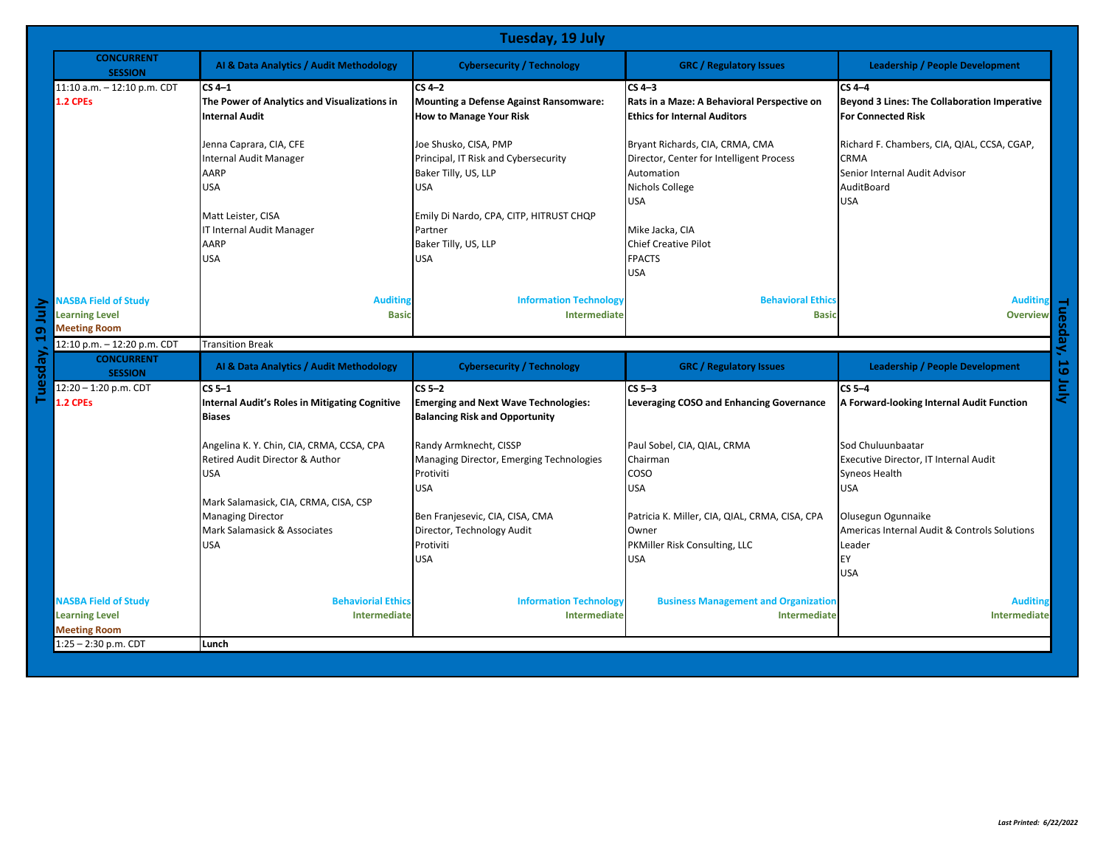|            |                                             | Tuesday, 19 July                                      |                                               |                                                 |                                              |  |
|------------|---------------------------------------------|-------------------------------------------------------|-----------------------------------------------|-------------------------------------------------|----------------------------------------------|--|
|            | <b>CONCURRENT</b><br><b>SESSION</b>         | Al & Data Analytics / Audit Methodology               | <b>Cybersecurity / Technology</b>             | <b>GRC</b> / Regulatory Issues                  | <b>Leadership / People Development</b>       |  |
|            | 11:10 a.m. - 12:10 p.m. CDT                 | $CS4-1$                                               | $CS4-2$                                       | $CS4-3$                                         | $CS4-4$                                      |  |
|            | 1.2 CPEs                                    | The Power of Analytics and Visualizations in          | <b>Mounting a Defense Against Ransomware:</b> | Rats in a Maze: A Behavioral Perspective on     | Beyond 3 Lines: The Collaboration Imperative |  |
|            |                                             | <b>Internal Audit</b>                                 | <b>How to Manage Your Risk</b>                | <b>Ethics for Internal Auditors</b>             | <b>For Connected Risk</b>                    |  |
|            |                                             |                                                       |                                               |                                                 |                                              |  |
|            |                                             | Jenna Caprara, CIA, CFE                               | Joe Shusko, CISA, PMP                         | Bryant Richards, CIA, CRMA, CMA                 | Richard F. Chambers, CIA, QIAL, CCSA, CGAP,  |  |
|            |                                             | <b>Internal Audit Manager</b>                         | Principal, IT Risk and Cybersecurity          | Director, Center for Intelligent Process        | <b>CRMA</b>                                  |  |
|            |                                             | AARP                                                  | Baker Tilly, US, LLP                          | Automation                                      | Senior Internal Audit Advisor                |  |
|            |                                             | <b>USA</b>                                            | USA                                           | Nichols College                                 | AuditBoard                                   |  |
|            |                                             |                                                       |                                               | <b>USA</b>                                      | <b>USA</b>                                   |  |
|            |                                             | Matt Leister, CISA                                    | Emily Di Nardo, CPA, CITP, HITRUST CHQP       |                                                 |                                              |  |
|            |                                             | IT Internal Audit Manager                             | Partner                                       | Mike Jacka, CIA                                 |                                              |  |
|            |                                             | AARP                                                  | Baker Tilly, US, LLP                          | <b>Chief Creative Pilot</b>                     |                                              |  |
|            |                                             | <b>USA</b>                                            | USA                                           | <b>FPACTS</b>                                   |                                              |  |
|            |                                             |                                                       |                                               | USA                                             |                                              |  |
|            |                                             |                                                       |                                               |                                                 |                                              |  |
|            | <b>NASBA Field of Study</b>                 | <b>Auditing</b>                                       | <b>Information Technology</b>                 | <b>Behavioral Ethics</b>                        | <b>Auditing</b>                              |  |
| Ξ          | <b>Learning Level</b>                       | <b>Basic</b>                                          | Intermediate                                  | <b>Basic</b>                                    | <b>Overview</b>                              |  |
| Ō          | <b>Meeting Room</b>                         |                                                       |                                               |                                                 |                                              |  |
|            | 12:10 p.m. - 12:20 p.m. CDT                 | <b>Transition Break</b>                               |                                               |                                                 |                                              |  |
|            |                                             |                                                       |                                               |                                                 |                                              |  |
|            | <b>CONCURRENT</b><br><b>SESSION</b>         | Al & Data Analytics / Audit Methodology               | <b>Cybersecurity / Technology</b>             | <b>GRC</b> / Regulatory Issues                  | <b>Leadership / People Development</b>       |  |
|            | 12:20 - 1:20 p.m. CDT                       | $CS5-1$                                               | $CS5-2$                                       | $CS5-3$                                         | $CS5-4$                                      |  |
|            | 1.2 CPEs                                    | <b>Internal Audit's Roles in Mitigating Cognitive</b> | <b>Emerging and Next Wave Technologies:</b>   | <b>Leveraging COSO and Enhancing Governance</b> | A Forward-looking Internal Audit Function    |  |
| esday<br>⊇ |                                             | <b>Biases</b>                                         | <b>Balancing Risk and Opportunity</b>         |                                                 |                                              |  |
|            |                                             |                                                       |                                               |                                                 |                                              |  |
|            |                                             | Angelina K. Y. Chin, CIA, CRMA, CCSA, CPA             | Randy Armknecht, CISSP                        | Paul Sobel, CIA, QIAL, CRMA                     | Sod Chuluunbaatar                            |  |
|            |                                             | Retired Audit Director & Author                       | Managing Director, Emerging Technologies      | Chairman                                        | Executive Director, IT Internal Audit        |  |
|            |                                             | <b>USA</b>                                            | Protiviti                                     | COSO                                            | Syneos Health                                |  |
|            |                                             |                                                       | <b>USA</b>                                    | USA                                             | <b>USA</b>                                   |  |
|            |                                             | Mark Salamasick, CIA, CRMA, CISA, CSP                 |                                               |                                                 |                                              |  |
|            |                                             | <b>Managing Director</b>                              | Ben Franjesevic, CIA, CISA, CMA               | Patricia K. Miller, CIA, QIAL, CRMA, CISA, CPA  | Olusegun Ogunnaike                           |  |
|            |                                             | Mark Salamasick & Associates                          | Director, Technology Audit                    | Owner                                           | Americas Internal Audit & Controls Solutions |  |
|            |                                             | <b>USA</b>                                            | Protiviti                                     | PKMiller Risk Consulting, LLC                   | Leader                                       |  |
|            |                                             |                                                       | <b>USA</b>                                    | <b>USA</b>                                      | EY                                           |  |
|            |                                             |                                                       |                                               |                                                 | <b>USA</b>                                   |  |
|            |                                             |                                                       |                                               |                                                 |                                              |  |
|            | <b>NASBA Field of Study</b>                 | <b>Behaviorial Ethics</b>                             | <b>Information Technology</b>                 | <b>Business Management and Organization</b>     | <b>Auditing</b>                              |  |
|            | <b>Learning Level</b>                       | Intermediate                                          | <b>Intermediate</b>                           | Intermediate                                    | Intermediate                                 |  |
|            | <b>Meeting Room</b><br>1:25 - 2:30 p.m. CDT | Lunch                                                 |                                               |                                                 |                                              |  |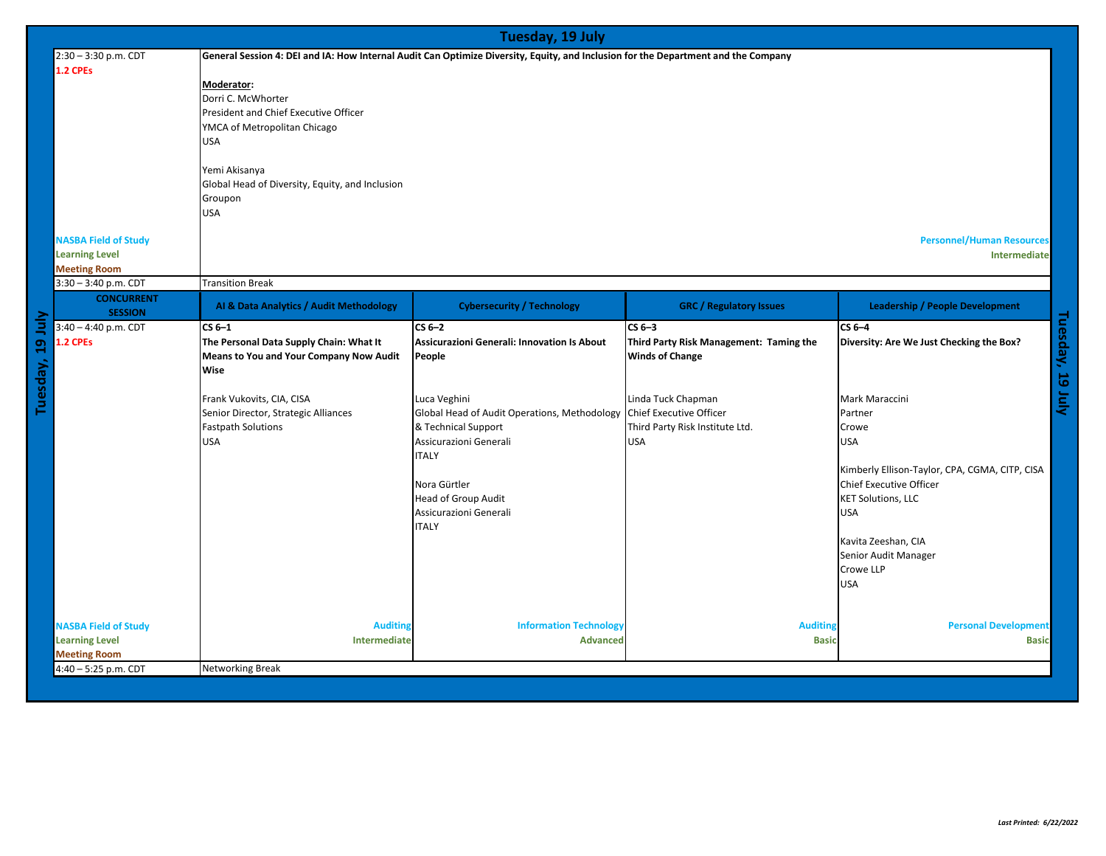|                  | Tuesday, 19 July                                                            |                                                                                                                                                                                                                       |                                                                                                                                                                                                                                                                                                  |                                                                                                                                                                                |                                                                                                                                                                                                                                                                                                                               |
|------------------|-----------------------------------------------------------------------------|-----------------------------------------------------------------------------------------------------------------------------------------------------------------------------------------------------------------------|--------------------------------------------------------------------------------------------------------------------------------------------------------------------------------------------------------------------------------------------------------------------------------------------------|--------------------------------------------------------------------------------------------------------------------------------------------------------------------------------|-------------------------------------------------------------------------------------------------------------------------------------------------------------------------------------------------------------------------------------------------------------------------------------------------------------------------------|
|                  | 2:30 - 3:30 p.m. CDT                                                        | General Session 4: DEI and IA: How Internal Audit Can Optimize Diversity, Equity, and Inclusion for the Department and the Company                                                                                    |                                                                                                                                                                                                                                                                                                  |                                                                                                                                                                                |                                                                                                                                                                                                                                                                                                                               |
|                  | 1.2 CPEs                                                                    | Moderator:<br>Dorri C. McWhorter<br>President and Chief Executive Officer<br>YMCA of Metropolitan Chicago<br><b>USA</b><br>Yemi Akisanya<br>Global Head of Diversity, Equity, and Inclusion<br>Groupon<br><b>USA</b>  |                                                                                                                                                                                                                                                                                                  |                                                                                                                                                                                |                                                                                                                                                                                                                                                                                                                               |
|                  | <b>NASBA Field of Study</b><br><b>Learning Level</b><br><b>Meeting Room</b> |                                                                                                                                                                                                                       |                                                                                                                                                                                                                                                                                                  |                                                                                                                                                                                | <b>Personnel/Human Resources</b><br>Intermediate                                                                                                                                                                                                                                                                              |
|                  | 3:30 - 3:40 p.m. CDT<br><b>CONCURRENT</b>                                   | <b>Transition Break</b><br>Al & Data Analytics / Audit Methodology                                                                                                                                                    | <b>Cybersecurity / Technology</b>                                                                                                                                                                                                                                                                | <b>GRC / Regulatory Issues</b>                                                                                                                                                 | <b>Leadership / People Development</b>                                                                                                                                                                                                                                                                                        |
|                  | <b>SESSION</b>                                                              |                                                                                                                                                                                                                       |                                                                                                                                                                                                                                                                                                  |                                                                                                                                                                                |                                                                                                                                                                                                                                                                                                                               |
| Tuesday, 19 July | $3:40 - 4:40$ p.m. CDT<br>1.2 CPEs                                          | $CS6-1$<br>The Personal Data Supply Chain: What It<br>Means to You and Your Company Now Audit<br>Wise<br>Frank Vukovits, CIA, CISA<br>Senior Director, Strategic Alliances<br><b>Fastpath Solutions</b><br><b>USA</b> | $CS6-2$<br><b>Assicurazioni Generali: Innovation Is About</b><br>People<br>Luca Veghini<br>Global Head of Audit Operations, Methodology<br>& Technical Support<br>Assicurazioni Generali<br><b>ITALY</b><br>Nora Gürtler<br><b>Head of Group Audit</b><br>Assicurazioni Generali<br><b>ITALY</b> | $CS6-3$<br>Third Party Risk Management: Taming the<br><b>Winds of Change</b><br>Linda Tuck Chapman<br>Chief Executive Officer<br>Third Party Risk Institute Ltd.<br><b>USA</b> | $CS6-4$<br>Diversity: Are We Just Checking the Box?<br><b>SY</b><br>Mark Maraccini<br>Partner<br>Crowe<br><b>USA</b><br>Kimberly Ellison-Taylor, CPA, CGMA, CITP, CISA<br><b>Chief Executive Officer</b><br><b>KET Solutions, LLC</b><br><b>USA</b><br>Kavita Zeeshan, CIA<br>Senior Audit Manager<br>Crowe LLP<br><b>USA</b> |
|                  | <b>NASBA Field of Study</b><br><b>Learning Level</b><br><b>Meeting Room</b> | <b>Auditing</b><br>Intermediate                                                                                                                                                                                       | <b>Information Technology</b><br><b>Advanced</b>                                                                                                                                                                                                                                                 | <b>Auditing</b><br><b>Basic</b>                                                                                                                                                | <b>Personal Development</b><br><b>Basic</b>                                                                                                                                                                                                                                                                                   |
|                  | 4:40 - 5:25 p.m. CDT                                                        | <b>Networking Break</b>                                                                                                                                                                                               |                                                                                                                                                                                                                                                                                                  |                                                                                                                                                                                |                                                                                                                                                                                                                                                                                                                               |
|                  |                                                                             |                                                                                                                                                                                                                       |                                                                                                                                                                                                                                                                                                  |                                                                                                                                                                                |                                                                                                                                                                                                                                                                                                                               |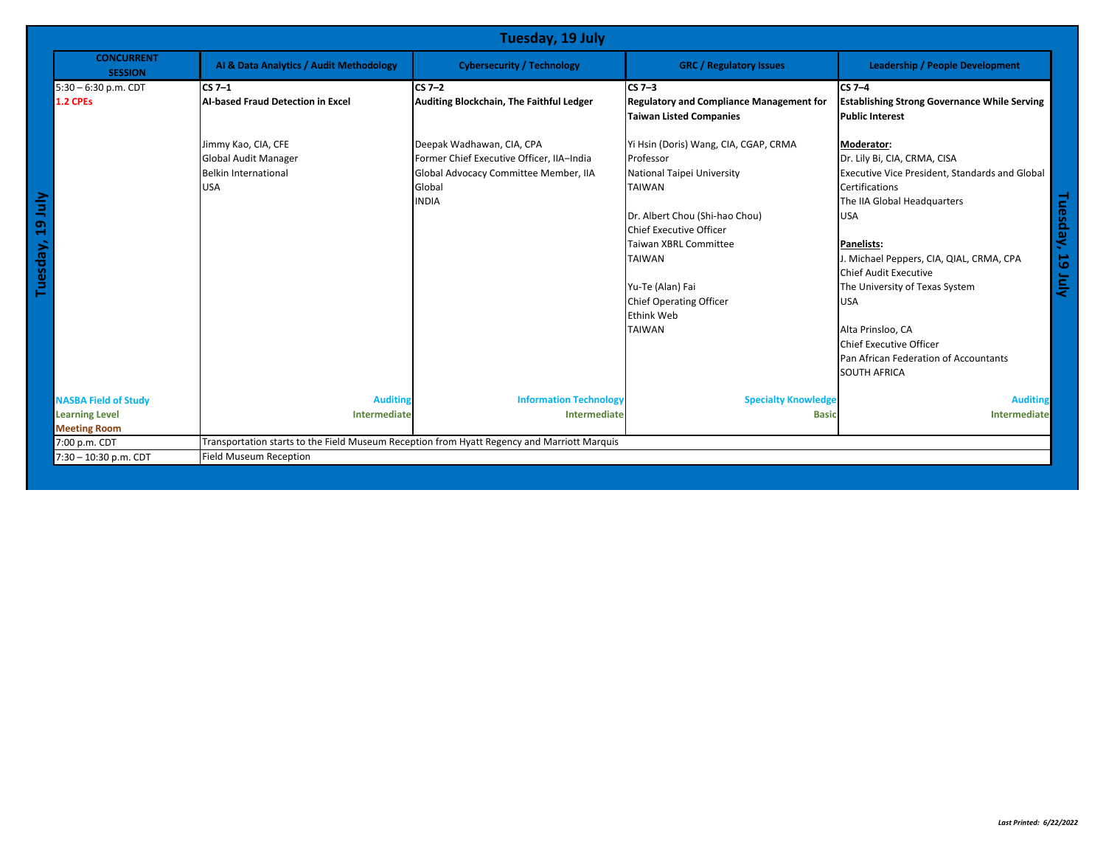| Tuesday, 19 July                                                            |                                                                                             |                                                                                                                                           |                                                                                                                                                                                                                                                                                                      |                                                                                                                                                                                                                                                                                                                                                                                                                              |
|-----------------------------------------------------------------------------|---------------------------------------------------------------------------------------------|-------------------------------------------------------------------------------------------------------------------------------------------|------------------------------------------------------------------------------------------------------------------------------------------------------------------------------------------------------------------------------------------------------------------------------------------------------|------------------------------------------------------------------------------------------------------------------------------------------------------------------------------------------------------------------------------------------------------------------------------------------------------------------------------------------------------------------------------------------------------------------------------|
| <b>CONCURRENT</b><br><b>SESSION</b>                                         | Al & Data Analytics / Audit Methodology                                                     | <b>Cybersecurity / Technology</b>                                                                                                         | <b>GRC</b> / Regulatory Issues                                                                                                                                                                                                                                                                       | <b>Leadership / People Development</b>                                                                                                                                                                                                                                                                                                                                                                                       |
| $5:30 - 6:30$ p.m. CDT<br><b>1.2 CPEs</b>                                   | $CS7-1$<br><b>AI-based Fraud Detection in Excel</b>                                         | $CS7-2$<br><b>Auditing Blockchain, The Faithful Ledger</b>                                                                                | $CS7-3$<br><b>Regulatory and Compliance Management for</b><br><b>Taiwan Listed Companies</b>                                                                                                                                                                                                         | $CS7-4$<br><b>Establishing Strong Governance While Serving</b><br><b>Public Interest</b>                                                                                                                                                                                                                                                                                                                                     |
| Tuesday, 19 July                                                            | Jimmy Kao, CIA, CFE<br>Global Audit Manager<br><b>Belkin International</b><br><b>USA</b>    | Deepak Wadhawan, CIA, CPA<br>Former Chief Executive Officer, IIA-India<br>Global Advocacy Committee Member, IIA<br>Global<br><b>INDIA</b> | Yi Hsin (Doris) Wang, CIA, CGAP, CRMA<br>Professor<br>National Taipei University<br><b>TAIWAN</b><br>Dr. Albert Chou (Shi-hao Chou)<br><b>Chief Executive Officer</b><br><b>Taiwan XBRL Committee</b><br><b>TAIWAN</b><br>Yu-Te (Alan) Fai<br>Chief Operating Officer<br>Ethink Web<br><b>TAIWAN</b> | Moderator:<br>Dr. Lily Bi, CIA, CRMA, CISA<br>Executive Vice President, Standards and Global<br><b>Certifications</b><br>The IIA Global Headquarters<br><b>USA</b><br><b>Panelists:</b><br>J. Michael Peppers, CIA, QIAL, CRMA, CPA<br>Chief Audit Executive<br>The University of Texas System<br><b>USA</b><br>Alta Prinsloo, CA<br>Chief Executive Officer<br>Pan African Federation of Accountants<br><b>SOUTH AFRICA</b> |
| <b>NASBA Field of Study</b><br><b>Learning Level</b><br><b>Meeting Room</b> | <b>Auditing</b><br>Intermediate                                                             | <b>Information Technology</b><br>Intermediate                                                                                             | <b>Specialty Knowledge</b><br><b>Basic</b>                                                                                                                                                                                                                                                           | <b>Auditing</b><br>Intermediate                                                                                                                                                                                                                                                                                                                                                                                              |
| 7:00 p.m. CDT                                                               | Transportation starts to the Field Museum Reception from Hyatt Regency and Marriott Marquis |                                                                                                                                           |                                                                                                                                                                                                                                                                                                      |                                                                                                                                                                                                                                                                                                                                                                                                                              |
| 7:30 - 10:30 p.m. CDT                                                       | <b>Field Museum Reception</b>                                                               |                                                                                                                                           |                                                                                                                                                                                                                                                                                                      |                                                                                                                                                                                                                                                                                                                                                                                                                              |